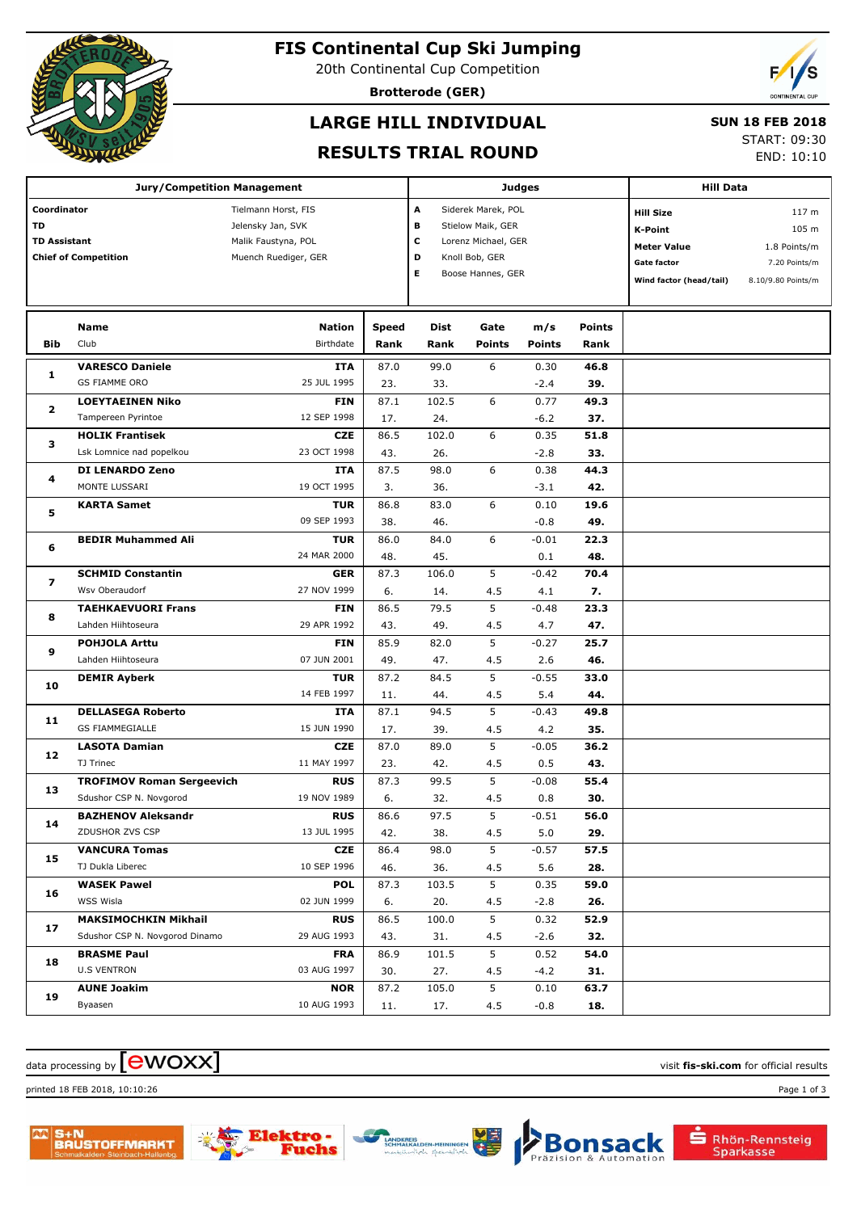

## **FIS Continental Cup Ski Jumping**

20th Continental Cup Competition

**Brotterode (GER)**

# **LARGE HILL INDIVIDUAL**

#### **SUN 18 FEB 2018**

#### **RESULTS TRIAL ROUND**

START: 09:30

END: 10:10

| <b>Jury/Competition Management</b> |                                                               |                                          |             |                                          |                   | <b>Judges</b>      | <b>Hill Data</b>        |                    |               |
|------------------------------------|---------------------------------------------------------------|------------------------------------------|-------------|------------------------------------------|-------------------|--------------------|-------------------------|--------------------|---------------|
| Coordinator<br>TD                  |                                                               | Tielmann Horst, FIS<br>Jelensky Jan, SVK |             |                                          |                   | Siderek Marek, POL |                         | <b>Hill Size</b>   | 117 m         |
| <b>TD Assistant</b>                |                                                               | Malik Faustyna, POL                      | в<br>c      | Stielow Maik, GER<br>Lorenz Michael, GER |                   |                    | <b>K-Point</b>          | 105 m              |               |
|                                    | <b>Chief of Competition</b>                                   | Muench Ruediger, GER                     |             | D                                        | Knoll Bob, GER    |                    |                         | <b>Meter Value</b> | 1.8 Points/m  |
|                                    |                                                               |                                          |             | Е                                        | Boose Hannes, GER |                    |                         | <b>Gate factor</b> | 7.20 Points/m |
|                                    |                                                               |                                          |             |                                          |                   |                    | Wind factor (head/tail) | 8.10/9.80 Points/m |               |
|                                    |                                                               |                                          |             |                                          |                   |                    |                         |                    |               |
|                                    | Name                                                          | Nation                                   | Speed       | Dist                                     | Gate              | m/s                | <b>Points</b>           |                    |               |
| <b>Bib</b>                         | Club                                                          | Birthdate                                | Rank        | Rank                                     | <b>Points</b>     | <b>Points</b>      | Rank                    |                    |               |
| 1                                  | <b>VARESCO Daniele</b>                                        | <b>ITA</b>                               | 87.0        | 99.0                                     | 6                 | 0.30               | 46.8                    |                    |               |
|                                    | <b>GS FIAMME ORO</b>                                          | 25 JUL 1995                              | 23.         | 33.                                      |                   | $-2.4$             | 39.                     |                    |               |
| $\overline{\mathbf{2}}$            | <b>LOEYTAEINEN Niko</b>                                       | <b>FIN</b>                               | 87.1        | 102.5                                    | 6                 | 0.77               | 49.3                    |                    |               |
|                                    | Tampereen Pyrintoe                                            | 12 SEP 1998                              | 17.         | 24.                                      |                   | $-6.2$             | 37.                     |                    |               |
| з                                  | <b>HOLIK Frantisek</b>                                        | <b>CZE</b>                               | 86.5        | 102.0                                    | 6                 | 0.35               | 51.8                    |                    |               |
|                                    | Lsk Lomnice nad popelkou                                      | 23 OCT 1998                              | 43.         | 26.                                      |                   | $-2.8$             | 33.                     |                    |               |
| 4                                  | <b>DI LENARDO Zeno</b>                                        | <b>ITA</b>                               | 87.5        | 98.0                                     | 6                 | 0.38               | 44.3                    |                    |               |
|                                    | MONTE LUSSARI                                                 | 19 OCT 1995                              | 3.          | 36.                                      |                   | $-3.1$             | 42.                     |                    |               |
| 5                                  | <b>KARTA Samet</b>                                            | <b>TUR</b>                               | 86.8        | 83.0                                     | 6                 | 0.10               | 19.6                    |                    |               |
|                                    |                                                               | 09 SEP 1993                              | 38.         | 46.                                      |                   | $-0.8$             | 49.                     |                    |               |
| 6                                  | <b>BEDIR Muhammed Ali</b>                                     | <b>TUR</b><br>24 MAR 2000                | 86.0<br>48. | 84.0<br>45.                              | 6                 | $-0.01$<br>0.1     | 22.3<br>48.             |                    |               |
| 7                                  | <b>SCHMID Constantin</b>                                      | <b>GER</b>                               | 87.3        | 106.0                                    | 5                 | $-0.42$            | 70.4                    |                    |               |
|                                    | Wsv Oberaudorf                                                | 27 NOV 1999                              | 6.          | 14.                                      | 4.5               | 4.1                | 7.                      |                    |               |
| 8                                  | <b>TAEHKAEVUORI Frans</b>                                     | <b>FIN</b>                               | 86.5        | 79.5                                     | 5                 | $-0.48$            | 23.3                    |                    |               |
|                                    | Lahden Hiihtoseura                                            | 29 APR 1992                              | 43.         | 49.                                      | 4.5               | 4.7                | 47.                     |                    |               |
|                                    | <b>POHJOLA Arttu</b>                                          | <b>FIN</b>                               | 85.9        | 82.0                                     | 5                 | $-0.27$            | 25.7                    |                    |               |
| 9                                  | Lahden Hiihtoseura                                            | 07 JUN 2001                              | 49.         | 47.                                      | 4.5               | 2.6                | 46.                     |                    |               |
|                                    | <b>DEMIR Ayberk</b>                                           | <b>TUR</b>                               | 87.2        | 84.5                                     | 5                 | $-0.55$            | 33.0                    |                    |               |
| 10                                 |                                                               | 14 FEB 1997                              | 11.         | 44.                                      | 4.5               | 5.4                | 44.                     |                    |               |
|                                    | <b>DELLASEGA Roberto</b>                                      | <b>ITA</b>                               | 87.1        | 94.5                                     | 5                 | $-0.43$            | 49.8                    |                    |               |
| 11                                 | <b>GS FIAMMEGIALLE</b>                                        | 15 JUN 1990                              | 17.         | 39.                                      | 4.5               | 4.2                | 35.                     |                    |               |
| 12                                 | <b>LASOTA Damian</b>                                          | <b>CZE</b>                               | 87.0        | 89.0                                     | 5                 | $-0.05$            | 36.2                    |                    |               |
|                                    | TJ Trinec                                                     | 11 MAY 1997                              | 23.         | 42.                                      | 4.5               | 0.5                | 43.                     |                    |               |
| 13                                 | <b>TROFIMOV Roman Sergeevich</b>                              | <b>RUS</b>                               | 87.3        | 99.5                                     | 5                 | $-0.08$            | 55.4                    |                    |               |
|                                    | Sdushor CSP N. Novgorod                                       | 19 NOV 1989                              | 6.          | 32.                                      | 4.5               | 0.8                | 30.                     |                    |               |
| 14                                 | <b>BAZHENOV Aleksandr</b>                                     | <b>RUS</b>                               | 86.6        | 97.5                                     | 5                 | $-0.51$            | 56.0                    |                    |               |
|                                    | ZDUSHOR ZVS CSP                                               | 13 JUL 1995                              | 42.         | 38.                                      | 4.5               | 5.0                | 29.                     |                    |               |
| 15                                 | <b>VANCURA Tomas</b>                                          | <b>CZE</b>                               | 86.4        | 98.0                                     | 5                 | $-0.57$            | 57.5                    |                    |               |
|                                    | TJ Dukla Liberec                                              | 10 SEP 1996                              | 46.         | 36.                                      | 4.5               | 5.6                | 28.                     |                    |               |
| 16                                 | <b>WASEK Pawel</b>                                            | <b>POL</b>                               | 87.3        | 103.5                                    | 5                 | 0.35               | 59.0                    |                    |               |
|                                    | WSS Wisla                                                     | 02 JUN 1999                              | 6.          | 20.                                      | 4.5               | $-2.8$             | 26.                     |                    |               |
| 17                                 | <b>MAKSIMOCHKIN Mikhail</b><br>Sdushor CSP N. Novgorod Dinamo | <b>RUS</b><br>29 AUG 1993                | 86.5        | 100.0                                    | 5                 | 0.32               | 52.9                    |                    |               |
|                                    |                                                               |                                          | 43.         | 31.                                      | 4.5               | $-2.6$             | 32.                     |                    |               |
| 18                                 | <b>BRASME Paul</b><br><b>U.S VENTRON</b>                      | <b>FRA</b><br>03 AUG 1997                | 86.9        | 101.5                                    | 5                 | 0.52               | 54.0                    |                    |               |
|                                    | <b>AUNE Joakim</b>                                            | <b>NOR</b>                               | 30.<br>87.2 | 27.<br>105.0                             | 4.5<br>5          | $-4.2$<br>0.10     | 31.<br>63.7             |                    |               |
| 19                                 | Byaasen                                                       | 10 AUG 1993                              | 11.         | 17.                                      | 4.5               | $-0.8$             | 18.                     |                    |               |
|                                    |                                                               |                                          |             |                                          |                   |                    |                         |                    |               |

### $\alpha$  data processing by  $\boxed{\text{ewOX}}$

printed 18 FEB 2018, 10:10:26 Page 1 of 3









**Bonsack** 

Automation

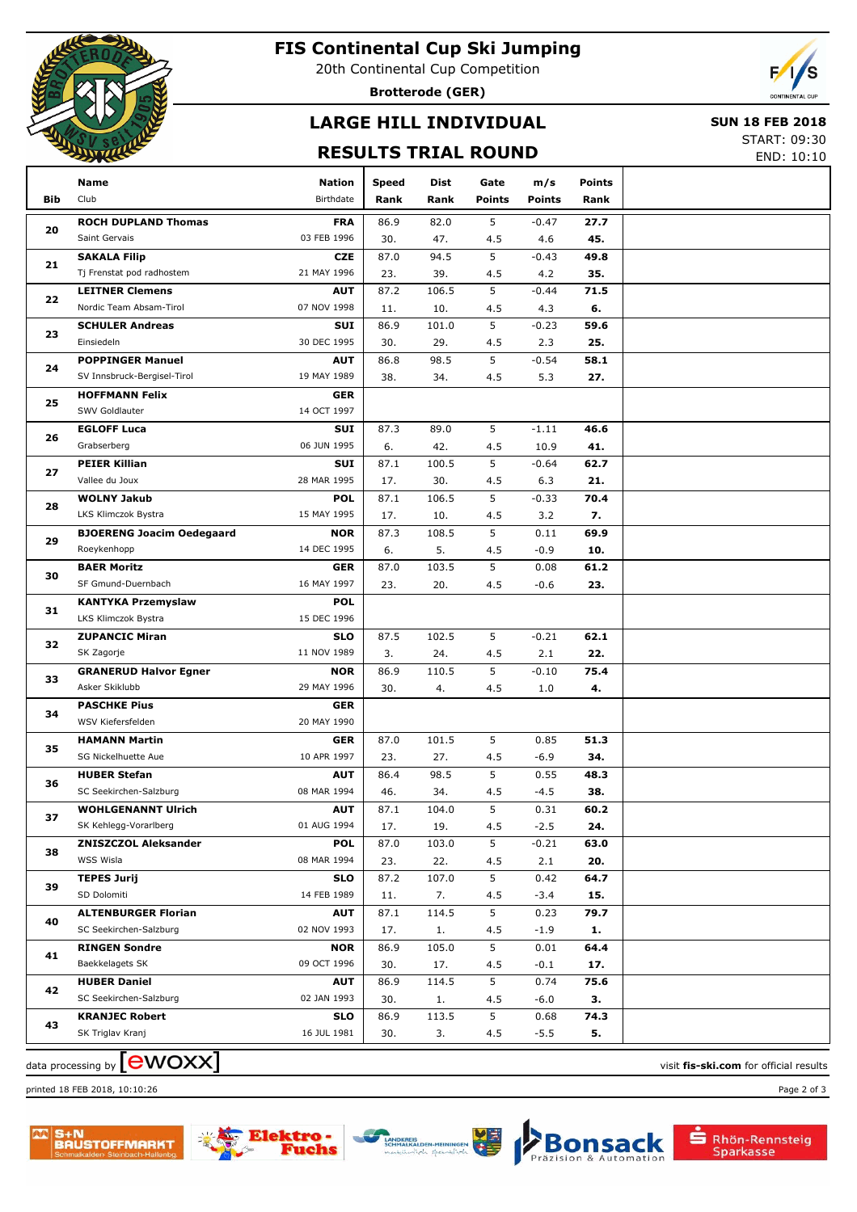

# **FIS Continental Cup Ski Jumping**

20th Continental Cup Competition

**Brotterode (GER)**

# **LARGE HILL INDIVIDUAL**

#### **SUN 18 FEB 2018**

#### **RESULTS TRIAL ROUND**

START: 09:30 END: 10:10

|     | Name                             | <b>Nation</b> | <b>Speed</b> | Dist  | Gate          | m/s           | Points |  |
|-----|----------------------------------|---------------|--------------|-------|---------------|---------------|--------|--|
| Bib | Club                             | Birthdate     | Rank         | Rank  | <b>Points</b> | <b>Points</b> | Rank   |  |
|     | <b>ROCH DUPLAND Thomas</b>       | <b>FRA</b>    | 86.9         | 82.0  | 5             | $-0.47$       | 27.7   |  |
| 20  | Saint Gervais                    | 03 FEB 1996   | 30.          | 47.   | 4.5           | 4.6           | 45.    |  |
|     | <b>SAKALA Filip</b>              | <b>CZE</b>    | 87.0         | 94.5  | 5             | $-0.43$       | 49.8   |  |
| 21  | Tj Frenstat pod radhostem        | 21 MAY 1996   | 23.          | 39.   | 4.5           | 4.2           | 35.    |  |
|     | <b>LEITNER Clemens</b>           | <b>AUT</b>    | 87.2         | 106.5 | 5             | $-0.44$       | 71.5   |  |
| 22  | Nordic Team Absam-Tirol          | 07 NOV 1998   | 11.          | 10.   | 4.5           | 4.3           | 6.     |  |
| 23  | <b>SCHULER Andreas</b>           | SUI           | 86.9         | 101.0 | 5             | $-0.23$       | 59.6   |  |
|     | Einsiedeln                       | 30 DEC 1995   | 30.          | 29.   | 4.5           | 2.3           | 25.    |  |
|     | <b>POPPINGER Manuel</b>          | <b>AUT</b>    | 86.8         | 98.5  | 5             | $-0.54$       | 58.1   |  |
| 24  | SV Innsbruck-Bergisel-Tirol      | 19 MAY 1989   | 38.          | 34.   | 4.5           | 5.3           | 27.    |  |
|     | <b>HOFFMANN Felix</b>            | <b>GER</b>    |              |       |               |               |        |  |
| 25  | SWV Goldlauter                   | 14 OCT 1997   |              |       |               |               |        |  |
|     | <b>EGLOFF Luca</b>               | SUI           | 87.3         | 89.0  | 5             | $-1.11$       | 46.6   |  |
| 26  | Grabserberg                      | 06 JUN 1995   | 6.           | 42.   | 4.5           | 10.9          | 41.    |  |
|     | <b>PEIER Killian</b>             | SUI           | 87.1         | 100.5 | 5             | $-0.64$       | 62.7   |  |
| 27  | Vallee du Joux                   | 28 MAR 1995   | 17.          | 30.   | 4.5           | 6.3           | 21.    |  |
|     | <b>WOLNY Jakub</b>               | <b>POL</b>    | 87.1         | 106.5 | 5             | $-0.33$       | 70.4   |  |
| 28  | LKS Klimczok Bystra              | 15 MAY 1995   | 17.          | 10.   | 4.5           | 3.2           | 7.     |  |
|     | <b>BJOERENG Joacim Oedegaard</b> | <b>NOR</b>    | 87.3         | 108.5 | 5             | 0.11          | 69.9   |  |
| 29  | Roeykenhopp                      | 14 DEC 1995   | 6.           | 5.    | 4.5           | $-0.9$        | 10.    |  |
| 30  | <b>BAER Moritz</b>               | <b>GER</b>    | 87.0         | 103.5 | 5             | 0.08          | 61.2   |  |
|     | SF Gmund-Duernbach               | 16 MAY 1997   | 23.          | 20.   | 4.5           | $-0.6$        | 23.    |  |
| 31  | <b>KANTYKA Przemyslaw</b>        | <b>POL</b>    |              |       |               |               |        |  |
|     | LKS Klimczok Bystra              | 15 DEC 1996   |              |       |               |               |        |  |
| 32  | <b>ZUPANCIC Miran</b>            | <b>SLO</b>    | 87.5         | 102.5 | 5             | $-0.21$       | 62.1   |  |
|     | SK Zagorje                       | 11 NOV 1989   | 3.           | 24.   | 4.5           | 2.1           | 22.    |  |
|     | <b>GRANERUD Halvor Egner</b>     | <b>NOR</b>    | 86.9         | 110.5 | 5             | $-0.10$       | 75.4   |  |
| 33  | Asker Skiklubb                   | 29 MAY 1996   | 30.          | 4.    | 4.5           | 1.0           | 4.     |  |
|     | <b>PASCHKE Pius</b>              | <b>GER</b>    |              |       |               |               |        |  |
| 34  | WSV Kiefersfelden                | 20 MAY 1990   |              |       |               |               |        |  |
|     | <b>HAMANN Martin</b>             | <b>GER</b>    | 87.0         | 101.5 | 5             | 0.85          | 51.3   |  |
| 35  | SG Nickelhuette Aue              | 10 APR 1997   | 23.          | 27.   | 4.5           | $-6.9$        | 34.    |  |
| 36  | <b>HUBER Stefan</b>              | <b>AUT</b>    | 86.4         | 98.5  | 5             | 0.55          | 48.3   |  |
|     | SC Seekirchen-Salzburg           | 08 MAR 1994   | 46.          | 34.   | 4.5           | $-4.5$        | 38.    |  |
| 37  | <b>WOHLGENANNT Ulrich</b>        | <b>AUT</b>    | 87.1         | 104.0 | 5             | 0.31          | 60.2   |  |
|     | SK Kehlegg-Vorarlberg            | 01 AUG 1994   | 17.          | 19.   | 4.5           | $-2.5$        | 24.    |  |
| 38  | <b>ZNISZCZOL Aleksander</b>      | <b>POL</b>    | 87.0         | 103.0 | 5             | $-0.21$       | 63.0   |  |
|     | WSS Wisla                        | 08 MAR 1994   | 23.          | 22.   | 4.5           | 2.1           | 20.    |  |
| 39  | <b>TEPES Jurij</b>               | <b>SLO</b>    | 87.2         | 107.0 | 5             | 0.42          | 64.7   |  |
|     | SD Dolomiti                      | 14 FEB 1989   | 11.          | 7.    | 4.5           | $-3.4$        | 15.    |  |
| 40  | <b>ALTENBURGER Florian</b>       | <b>AUT</b>    | 87.1         | 114.5 | 5             | 0.23          | 79.7   |  |
|     | SC Seekirchen-Salzburg           | 02 NOV 1993   | 17.          | 1.    | 4.5           | -1.9          | 1.     |  |
| 41  | <b>RINGEN Sondre</b>             | <b>NOR</b>    | 86.9         | 105.0 | 5             | 0.01          | 64.4   |  |
|     | Baekkelagets SK                  | 09 OCT 1996   | 30.          | 17.   | 4.5           | -0.1          | 17.    |  |
| 42  | <b>HUBER Daniel</b>              | <b>AUT</b>    | 86.9         | 114.5 | 5             | 0.74          | 75.6   |  |
|     | SC Seekirchen-Salzburg           | 02 JAN 1993   | 30.          | 1.    | 4.5           | -6.0          | З.     |  |
| 43  | <b>KRANJEC Robert</b>            | <b>SLO</b>    | 86.9         | 113.5 | 5             | 0.68          | 74.3   |  |
|     | SK Triglav Kranj                 | 16 JUL 1981   | 30.          | 3.    | 4.5           | $-5.5$        | 5.     |  |
|     |                                  |               |              |       |               |               |        |  |

 $\alpha$  data processing by  $\boxed{\text{ewOX}}$ 

printed 18 FEB 2018, 10:10:26 Page 2 of 3